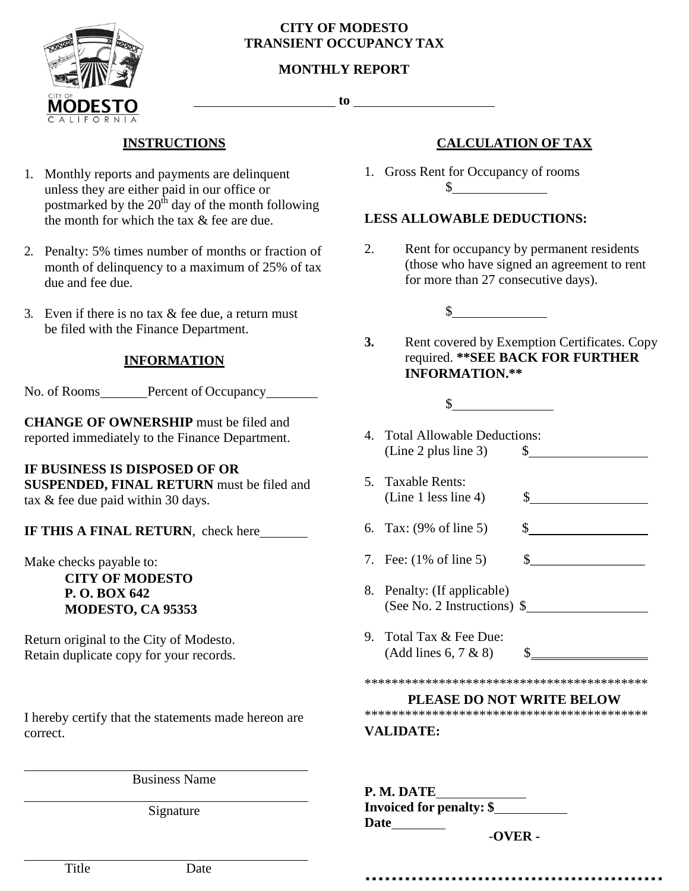

#### **CITY OF MODESTO TRANSIENT OCCUPANCY TAX**

## **MONTHLY REPORT**

**to**

# **INSTRUCTIONS**

- 1. Monthly reports and payments are delinquent unless they are either paid in our office or postmarked by the  $20<sup>th</sup>$  day of the month following the month for which the tax & fee are due.
- 2. Penalty: 5% times number of months or fraction of month of delinquency to a maximum of 25% of tax due and fee due.
- 3. Even if there is no tax & fee due, a return must be filed with the Finance Department.

## **INFORMATION**

No. of Rooms Percent of Occupancy

**CHANGE OF OWNERSHIP** must be filed and reported immediately to the Finance Department.

## **IF BUSINESS IS DISPOSED OF OR**

**SUSPENDED, FINAL RETURN** must be filed and tax & fee due paid within 30 days.

**IF THIS A FINAL RETURN**, check here

Make checks payable to:

**CITY OF MODESTO P. O. BOX 642 MODESTO, CA 95353**

Return original to the City of Modesto. Retain duplicate copy for your records.

I hereby certify that the statements made hereon are correct.

Business Name

Signature

# **CALCULATION OF TAX**

1. Gross Rent for Occupancy of rooms  $\mathbb S$ 

## **LESS ALLOWABLE DEDUCTIONS:**

2. Rent for occupancy by permanent residents (those who have signed an agreement to rent for more than 27 consecutive days).

 $\sim$ 

- **3.** Rent covered by Exemption Certificates. Copy required. **\*\*SEE BACK FOR FURTHER INFORMATION.\*\***
	- $\sim$
- 4. Total Allowable Deductions: (Line 2 plus line 3) \$
- 5. Taxable Rents: (Line 1 less line 4)  $\qquad$  \$
- 6. Tax: (9% of line 5) \$
- 7. Fee: (1% of line 5) \$\_\_\_\_\_\_\_\_\_\_\_\_\_\_\_\_\_
- 8. Penalty: (If applicable) (See No. 2 Instructions) \$
- 9. Total Tax & Fee Due:  $(Add lines 6, 7 & 8)$

\*\*\*\*\*\*\*\*\*\*\*\*\*\*\*\*\*\*\*\*\*\*\*\*\*\*\*\*\*\*\*\*\*\*\*\*\*\*\*\*\*\*

#### **PLEASE DO NOT WRITE BELOW**

\*\*\*\*\*\*\*\*\*\*\*\*\*\*\*\*\*\*\*\*\*\*\*\*\*\*\*\*\*\*\*\*\*\*\*\*\*\*\*\*\*\*

#### **VALIDATE:**

**P. M. DATE Invoiced for penalty: \$ Date**

-**OVER -**

Title Date